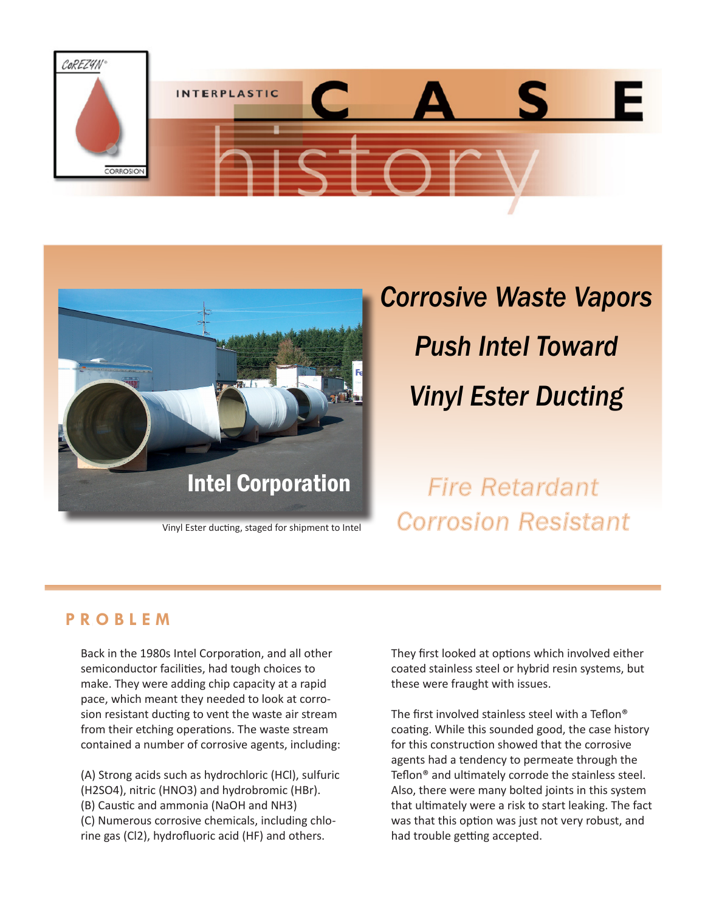



Vinyl Ester ducting, staged for shipment to Intel

# *Corrosive Waste Vapors Push Intel Toward Vinyl Ester Ducting*

*Fire Retardant Corrosion Resistant*

### **P R O B L E M**

Back in the 1980s Intel Corporation, and all other semiconductor facilities, had tough choices to make. They were adding chip capacity at a rapid pace, which meant they needed to look at corrosion resistant ducting to vent the waste air stream from their etching operations. The waste stream contained a number of corrosive agents, including:

(A) Strong acids such as hydrochloric (HCl), sulfuric (H2SO4), nitric (HNO3) and hydrobromic (HBr). (B) Caustic and ammonia (NaOH and NH3) (C) Numerous corrosive chemicals, including chlorine gas (Cl2), hydrofluoric acid (HF) and others.

They first looked at options which involved either coated stainless steel or hybrid resin systems, but these were fraught with issues.

The first involved stainless steel with a Teflon® coating. While this sounded good, the case history for this construction showed that the corrosive agents had a tendency to permeate through the Teflon® and ultimately corrode the stainless steel. Also, there were many bolted joints in this system that ultimately were a risk to start leaking. The fact was that this option was just not very robust, and had trouble getting accepted.